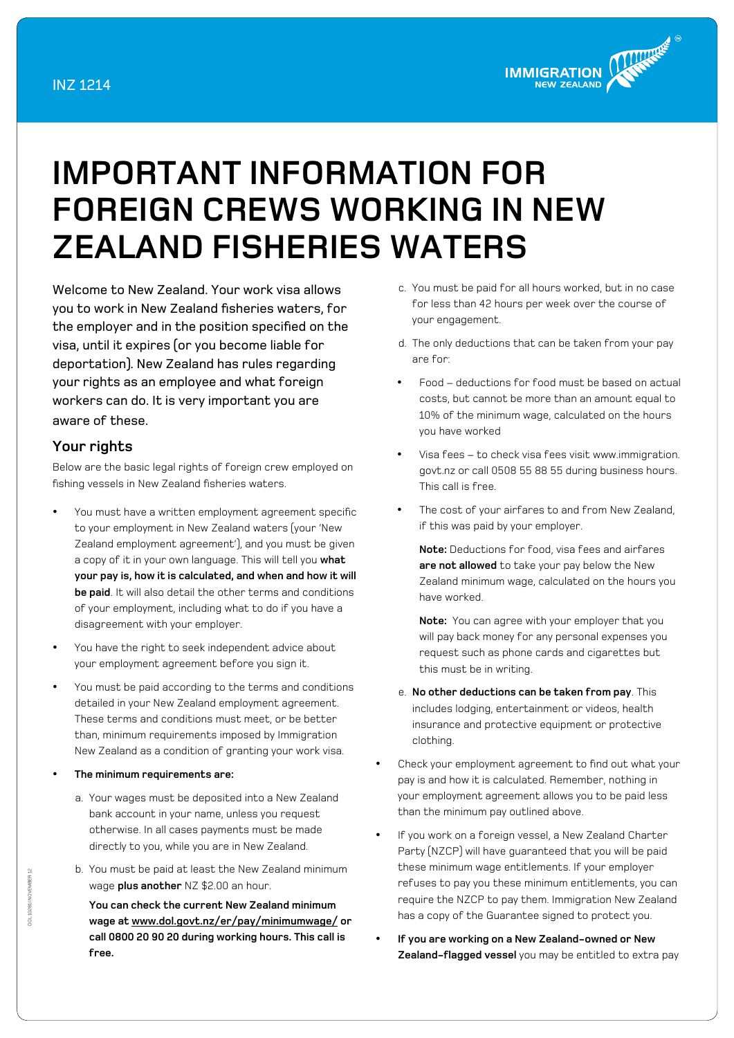

## **Important Information for Foreign Crews working in New Zealand Fisheries Waters**

Welcome to New Zealand. Your work visa allows you to work in New Zealand fisheries waters, for the employer and in the position specified on the visa, until it expires (or you become liable for deportation). New Zealand has rules regarding your rights as an employee and what foreign workers can do. It is very important you are aware of these.

## **Your rights**

Below are the basic legal rights of foreign crew employed on fishing vessels in New Zealand fisheries waters.

- You must have a written employment agreement specific to your employment in New Zealand waters (your 'New Zealand employment agreement'), and you must be given a copy of it in your own language. This will tell you **what your pay is, how it is calculated, and when and how it will be paid**. It will also detail the other terms and conditions of your employment, including what to do if you have a disagreement with your employer.
- You have the right to seek independent advice about your employment agreement before you sign it.
- You must be paid according to the terms and conditions detailed in your New Zealand employment agreement. These terms and conditions must meet, or be better than, minimum requirements imposed by Immigration New Zealand as a condition of granting your work visa.
- The minimum requirements are:
	- a. Your wages must be deposited into a New Zealand bank account in your name, unless you request otherwise. In all cases payments must be made directly to you, while you are in New Zealand.
	- b. You must be paid at least the New Zealand minimum wage **plus another** NZ \$2.00 an hour.

**You can check the current New Zealand minimum wage at [www.dol.govt.nz/er/pay/minimumwage/](http://www.dol.govt.nz/er/pay/minimumwage/) or call 0800 20 90 20 during working hours. This call is free.**

- c. You must be paid for all hours worked, but in no case for less than 42 hours per week over the course of your engagement.
- d. The only deductions that can be taken from your pay are for:
- Food deductions for food must be based on actual costs, but cannot be more than an amount equal to 10% of the minimum wage, calculated on the hours you have worked
- Visa fees to check visa fees visit www.immigration. govt.nz or call 0508 55 88 55 during business hours. This call is free.
- The cost of your airfares to and from New Zealand, if this was paid by your employer.

**Note:** Deductions for food, visa fees and airfares **are not allowed** to take your pay below the New Zealand minimum wage, calculated on the hours you have worked.

**Note:** You can agree with your employer that you will pay back money for any personal expenses you request such as phone cards and cigarettes but this must be in writing.

- e. **No other deductions can be taken from pay**. This includes lodging, entertainment or videos, health insurance and protective equipment or protective clothing.
- Check your employment agreement to find out what your pay is and how it is calculated. Remember, nothing in your employment agreement allows you to be paid less than the minimum pay outlined above.
- If you work on a foreign vessel, a New Zealand Charter Party (NZCP) will have guaranteed that you will be paid these minimum wage entitlements. If your employer refuses to pay you these minimum entitlements, you can require the NZCP to pay them. Immigration New Zealand has a copy of the Guarantee signed to protect you.
- If you are working on a New Zealand-owned or New **Zealand-flagged vessel** you may be entitled to extra pay